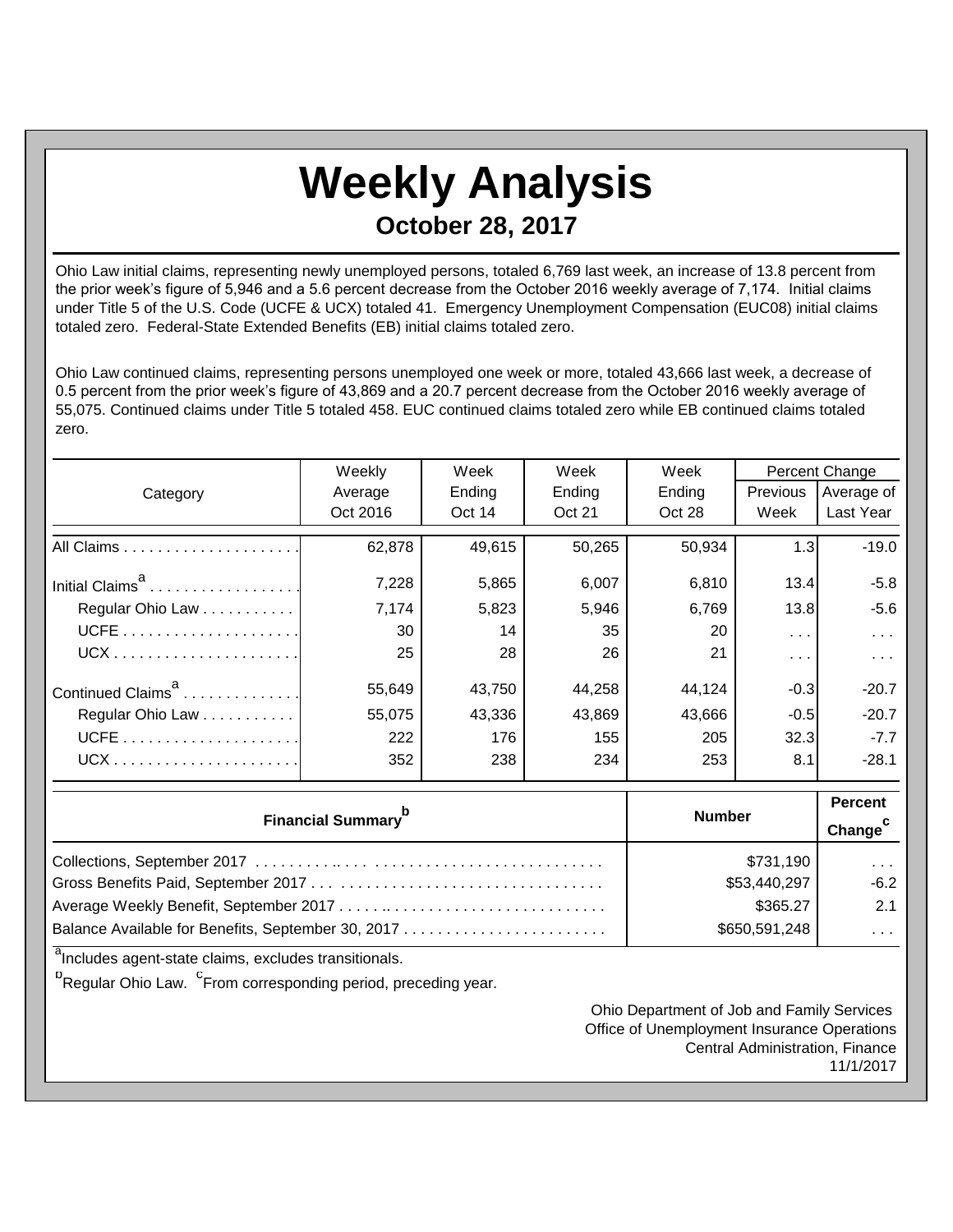## **Weekly Analysis October 28, 2017**

Ohio Law initial claims, representing newly unemployed persons, totaled 6,769 last week, an increase of 13.8 percent from the prior week's figure of 5,946 and a 5.6 percent decrease from the October 2016 weekly average of 7,174. Initial claims under Title 5 of the U.S. Code (UCFE & UCX) totaled 41. Emergency Unemployment Compensation (EUC08) initial claims totaled zero. Federal-State Extended Benefits (EB) initial claims totaled zero.

Ohio Law continued claims, representing persons unemployed one week or more, totaled 43,666 last week, a decrease of 0.5 percent from the prior week's figure of 43,869 and a 20.7 percent decrease from the October 2016 weekly average of 55,075. Continued claims under Title 5 totaled 458. EUC continued claims totaled zero while EB continued claims totaled zero.

|                               | Weekly        | Week<br>Week |                         | Week   | Percent Change          |                         |
|-------------------------------|---------------|--------------|-------------------------|--------|-------------------------|-------------------------|
| Category                      | Average       | Ending       | Ending                  | Ending | Previous                | Average of              |
|                               | Oct 2016      | Oct 14       | Oct 21                  | Oct 28 | Week                    | Last Year               |
|                               | 62,878        | 49,615       | 50,265                  | 50,934 | 1.3                     | $-19.0$                 |
| Initial Claims <sup>a</sup>   | 7,228         | 5,865        | 6,007                   | 6,810  | 13.4                    | $-5.8$                  |
| Regular Ohio Law              | 7,174         | 5,823        | 5,946                   | 6,769  | 13.8                    | $-5.6$                  |
|                               | 30            | 14           | 35                      | 20     | $\sim 100$ km s $^{-1}$ | $\sim 100$ km s $^{-1}$ |
|                               | 25            | 28           | 26                      | 21     | $\sim 100$              | $\sim 100$ km $^{-1}$   |
| Continued Claims <sup>a</sup> | 55,649        | 43,750       | 44,258                  | 44,124 | $-0.3$                  | $-20.7$                 |
| Regular Ohio Law              | 55,075        | 43,336       | 43,869                  | 43,666 | $-0.5$                  | $-20.7$                 |
|                               | 222           | 176          | 155                     | 205    | 32.3                    | $-7.7$                  |
|                               | 352           | 238          | 234                     | 253    | 8.1                     | $-28.1$                 |
|                               | <b>Number</b> |              | <b>Percent</b>          |        |                         |                         |
| <b>Financial Summary</b>      |               |              | Change <sup>C</sup>     |        |                         |                         |
|                               | \$731,190     |              | $\sim 100$ km s $^{-1}$ |        |                         |                         |
|                               | \$53,440,297  |              | $-6.2$                  |        |                         |                         |
|                               | \$365.27      |              | 2.1                     |        |                         |                         |
|                               | \$650,591,248 |              | $\sim 100$ km s $^{-1}$ |        |                         |                         |

<sup>a</sup>Includes agent-state claims, excludes transitionals.

<sup>b</sup>Regular Ohio Law. <sup>C</sup>From corresponding period, preceding year.

Ohio Department of Job and Family Services Office of Unemployment Insurance Operations Central Administration, Finance 11/1/2017